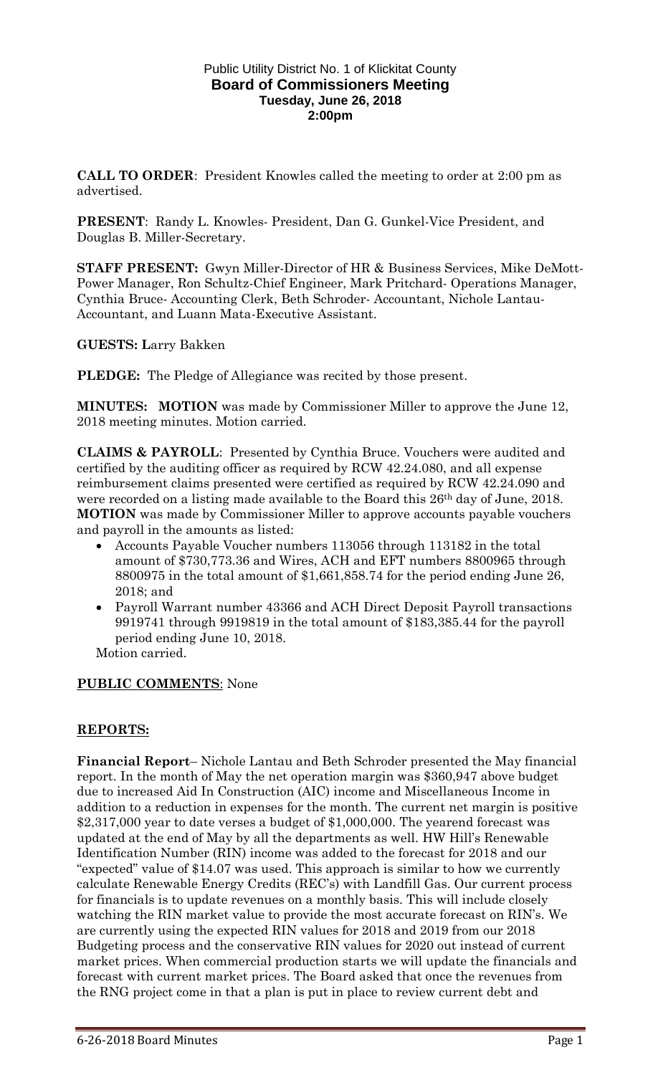#### Public Utility District No. 1 of Klickitat County **Board of Commissioners Meeting Tuesday, June 26, 2018 2:00pm**

**CALL TO ORDER**: President Knowles called the meeting to order at 2:00 pm as advertised.

**PRESENT**: Randy L. Knowles- President, Dan G. Gunkel-Vice President, and Douglas B. Miller-Secretary.

**STAFF PRESENT:** Gwyn Miller-Director of HR & Business Services, Mike DeMott-Power Manager, Ron Schultz-Chief Engineer, Mark Pritchard- Operations Manager, Cynthia Bruce- Accounting Clerk, Beth Schroder- Accountant, Nichole Lantau-Accountant, and Luann Mata-Executive Assistant.

## **GUESTS: L**arry Bakken

**PLEDGE:** The Pledge of Allegiance was recited by those present.

**MINUTES: MOTION** was made by Commissioner Miller to approve the June 12, 2018 meeting minutes. Motion carried.

**CLAIMS & PAYROLL**: Presented by Cynthia Bruce. Vouchers were audited and certified by the auditing officer as required by RCW 42.24.080, and all expense reimbursement claims presented were certified as required by RCW 42.24.090 and were recorded on a listing made available to the Board this 26<sup>th</sup> day of June, 2018. **MOTION** was made by Commissioner Miller to approve accounts payable vouchers and payroll in the amounts as listed:

- Accounts Payable Voucher numbers 113056 through 113182 in the total amount of \$730,773.36 and Wires, ACH and EFT numbers 8800965 through 8800975 in the total amount of \$1,661,858.74 for the period ending June 26, 2018; and
- Payroll Warrant number 43366 and ACH Direct Deposit Payroll transactions 9919741 through 9919819 in the total amount of \$183,385.44 for the payroll period ending June 10, 2018.

Motion carried.

### **PUBLIC COMMENTS**: None

### **REPORTS:**

**Financial Report**– Nichole Lantau and Beth Schroder presented the May financial report. In the month of May the net operation margin was \$360,947 above budget due to increased Aid In Construction (AIC) income and Miscellaneous Income in addition to a reduction in expenses for the month. The current net margin is positive \$2,317,000 year to date verses a budget of \$1,000,000. The yearend forecast was updated at the end of May by all the departments as well. HW Hill's Renewable Identification Number (RIN) income was added to the forecast for 2018 and our "expected" value of \$14.07 was used. This approach is similar to how we currently calculate Renewable Energy Credits (REC's) with Landfill Gas. Our current process for financials is to update revenues on a monthly basis. This will include closely watching the RIN market value to provide the most accurate forecast on RIN's. We are currently using the expected RIN values for 2018 and 2019 from our 2018 Budgeting process and the conservative RIN values for 2020 out instead of current market prices. When commercial production starts we will update the financials and forecast with current market prices. The Board asked that once the revenues from the RNG project come in that a plan is put in place to review current debt and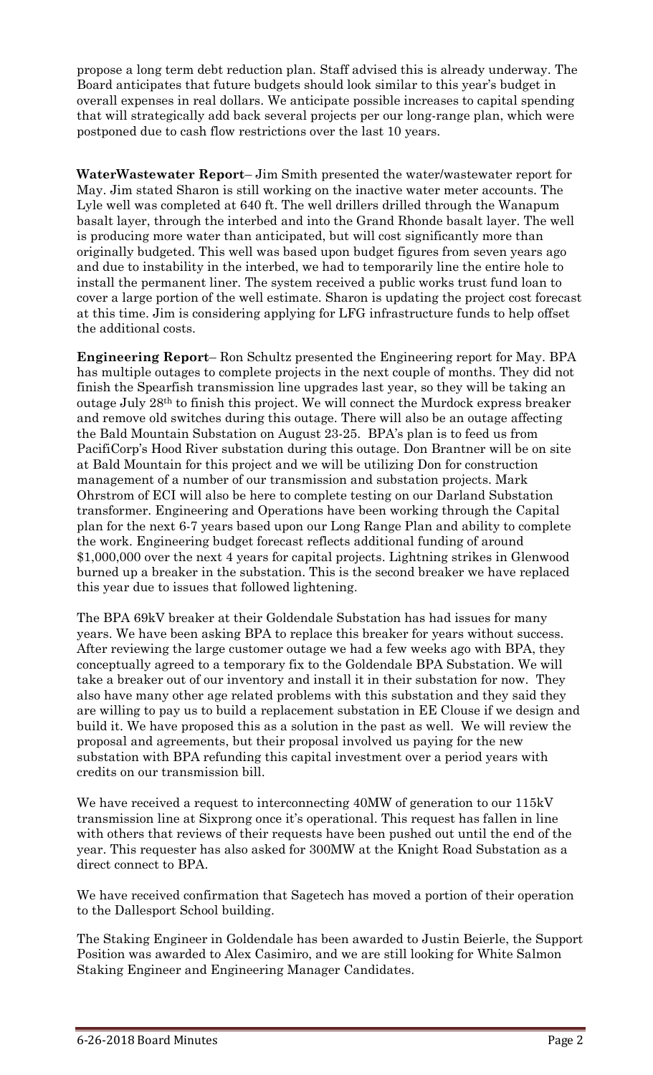propose a long term debt reduction plan. Staff advised this is already underway. The Board anticipates that future budgets should look similar to this year's budget in overall expenses in real dollars. We anticipate possible increases to capital spending that will strategically add back several projects per our long-range plan, which were postponed due to cash flow restrictions over the last 10 years.

**WaterWastewater Report**– Jim Smith presented the water/wastewater report for May. Jim stated Sharon is still working on the inactive water meter accounts. The Lyle well was completed at 640 ft. The well drillers drilled through the Wanapum basalt layer, through the interbed and into the Grand Rhonde basalt layer. The well is producing more water than anticipated, but will cost significantly more than originally budgeted. This well was based upon budget figures from seven years ago and due to instability in the interbed, we had to temporarily line the entire hole to install the permanent liner. The system received a public works trust fund loan to cover a large portion of the well estimate. Sharon is updating the project cost forecast at this time. Jim is considering applying for LFG infrastructure funds to help offset the additional costs.

**Engineering Report**– Ron Schultz presented the Engineering report for May. BPA has multiple outages to complete projects in the next couple of months. They did not finish the Spearfish transmission line upgrades last year, so they will be taking an outage July 28th to finish this project. We will connect the Murdock express breaker and remove old switches during this outage. There will also be an outage affecting the Bald Mountain Substation on August 23-25. BPA's plan is to feed us from PacifiCorp's Hood River substation during this outage. Don Brantner will be on site at Bald Mountain for this project and we will be utilizing Don for construction management of a number of our transmission and substation projects. Mark Ohrstrom of ECI will also be here to complete testing on our Darland Substation transformer. Engineering and Operations have been working through the Capital plan for the next 6-7 years based upon our Long Range Plan and ability to complete the work. Engineering budget forecast reflects additional funding of around \$1,000,000 over the next 4 years for capital projects. Lightning strikes in Glenwood burned up a breaker in the substation. This is the second breaker we have replaced this year due to issues that followed lightening.

The BPA 69kV breaker at their Goldendale Substation has had issues for many years. We have been asking BPA to replace this breaker for years without success. After reviewing the large customer outage we had a few weeks ago with BPA, they conceptually agreed to a temporary fix to the Goldendale BPA Substation. We will take a breaker out of our inventory and install it in their substation for now. They also have many other age related problems with this substation and they said they are willing to pay us to build a replacement substation in EE Clouse if we design and build it. We have proposed this as a solution in the past as well. We will review the proposal and agreements, but their proposal involved us paying for the new substation with BPA refunding this capital investment over a period years with credits on our transmission bill.

We have received a request to interconnecting 40MW of generation to our 115kV transmission line at Sixprong once it's operational. This request has fallen in line with others that reviews of their requests have been pushed out until the end of the year. This requester has also asked for 300MW at the Knight Road Substation as a direct connect to BPA.

We have received confirmation that Sagetech has moved a portion of their operation to the Dallesport School building.

The Staking Engineer in Goldendale has been awarded to Justin Beierle, the Support Position was awarded to Alex Casimiro, and we are still looking for White Salmon Staking Engineer and Engineering Manager Candidates.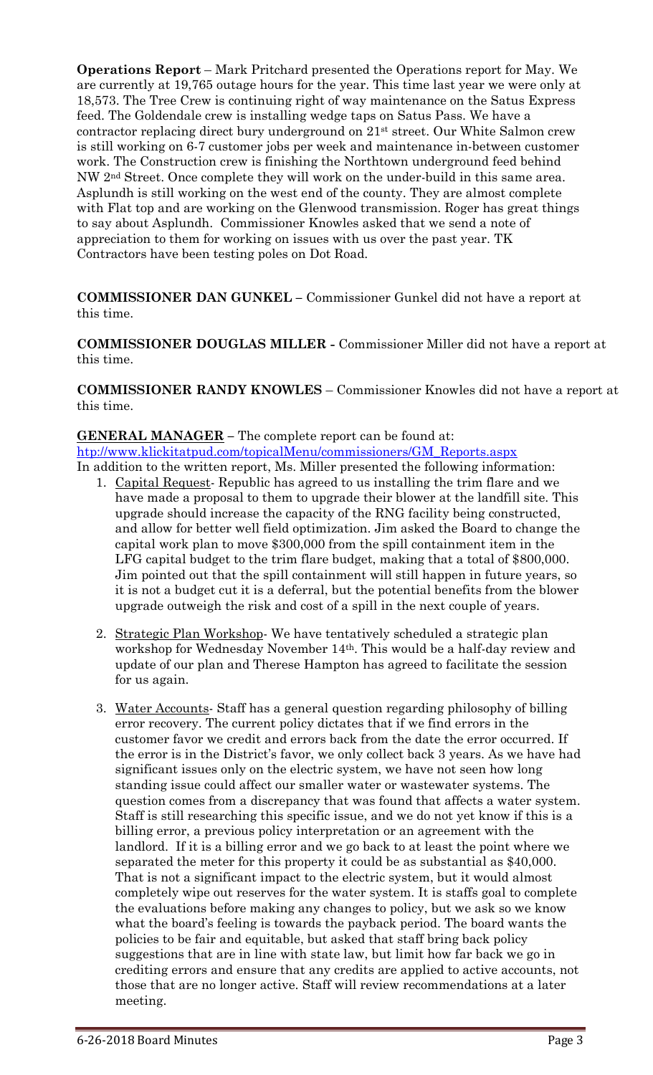**Operations Report** – Mark Pritchard presented the Operations report for May. We are currently at 19,765 outage hours for the year. This time last year we were only at 18,573. The Tree Crew is continuing right of way maintenance on the Satus Express feed. The Goldendale crew is installing wedge taps on Satus Pass. We have a contractor replacing direct bury underground on 21st street. Our White Salmon crew is still working on 6-7 customer jobs per week and maintenance in-between customer work. The Construction crew is finishing the Northtown underground feed behind NW 2nd Street. Once complete they will work on the under-build in this same area. Asplundh is still working on the west end of the county. They are almost complete with Flat top and are working on the Glenwood transmission. Roger has great things to say about Asplundh. Commissioner Knowles asked that we send a note of appreciation to them for working on issues with us over the past year. TK Contractors have been testing poles on Dot Road.

**COMMISSIONER DAN GUNKEL –** Commissioner Gunkel did not have a report at this time.

**COMMISSIONER DOUGLAS MILLER -** Commissioner Miller did not have a report at this time.

**COMMISSIONER RANDY KNOWLES** – Commissioner Knowles did not have a report at this time.

**GENERAL MANAGER –** The complete report can be found at: [htp://www.klickitatpud.com/topicalMenu/commissioners/GM\\_Reports.aspx](http://www.klickitatpud.com/topicalMenu/commissioners/GM_Reports.aspx) In addition to the written report, Ms. Miller presented the following information:

- 1. Capital Request- Republic has agreed to us installing the trim flare and we have made a proposal to them to upgrade their blower at the landfill site. This upgrade should increase the capacity of the RNG facility being constructed, and allow for better well field optimization. Jim asked the Board to change the capital work plan to move \$300,000 from the spill containment item in the LFG capital budget to the trim flare budget, making that a total of \$800,000. Jim pointed out that the spill containment will still happen in future years, so it is not a budget cut it is a deferral, but the potential benefits from the blower upgrade outweigh the risk and cost of a spill in the next couple of years.
- 2. Strategic Plan Workshop- We have tentatively scheduled a strategic plan workshop for Wednesday November 14th. This would be a half-day review and update of our plan and Therese Hampton has agreed to facilitate the session for us again.
- 3. Water Accounts- Staff has a general question regarding philosophy of billing error recovery. The current policy dictates that if we find errors in the customer favor we credit and errors back from the date the error occurred. If the error is in the District's favor, we only collect back 3 years. As we have had significant issues only on the electric system, we have not seen how long standing issue could affect our smaller water or wastewater systems. The question comes from a discrepancy that was found that affects a water system. Staff is still researching this specific issue, and we do not yet know if this is a billing error, a previous policy interpretation or an agreement with the landlord. If it is a billing error and we go back to at least the point where we separated the meter for this property it could be as substantial as \$40,000. That is not a significant impact to the electric system, but it would almost completely wipe out reserves for the water system. It is staffs goal to complete the evaluations before making any changes to policy, but we ask so we know what the board's feeling is towards the payback period. The board wants the policies to be fair and equitable, but asked that staff bring back policy suggestions that are in line with state law, but limit how far back we go in crediting errors and ensure that any credits are applied to active accounts, not those that are no longer active. Staff will review recommendations at a later meeting.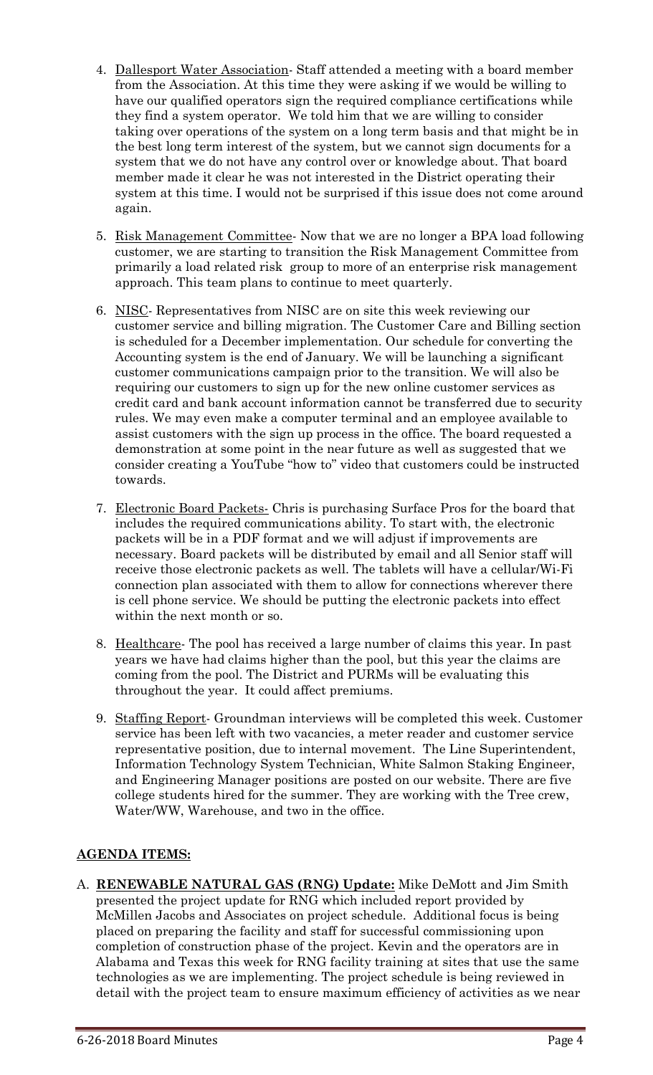- 4. Dallesport Water Association- Staff attended a meeting with a board member from the Association. At this time they were asking if we would be willing to have our qualified operators sign the required compliance certifications while they find a system operator. We told him that we are willing to consider taking over operations of the system on a long term basis and that might be in the best long term interest of the system, but we cannot sign documents for a system that we do not have any control over or knowledge about. That board member made it clear he was not interested in the District operating their system at this time. I would not be surprised if this issue does not come around again.
- 5. Risk Management Committee- Now that we are no longer a BPA load following customer, we are starting to transition the Risk Management Committee from primarily a load related risk group to more of an enterprise risk management approach. This team plans to continue to meet quarterly.
- 6. NISC- Representatives from NISC are on site this week reviewing our customer service and billing migration. The Customer Care and Billing section is scheduled for a December implementation. Our schedule for converting the Accounting system is the end of January. We will be launching a significant customer communications campaign prior to the transition. We will also be requiring our customers to sign up for the new online customer services as credit card and bank account information cannot be transferred due to security rules. We may even make a computer terminal and an employee available to assist customers with the sign up process in the office. The board requested a demonstration at some point in the near future as well as suggested that we consider creating a YouTube "how to" video that customers could be instructed towards.
- 7. Electronic Board Packets- Chris is purchasing Surface Pros for the board that includes the required communications ability. To start with, the electronic packets will be in a PDF format and we will adjust if improvements are necessary. Board packets will be distributed by email and all Senior staff will receive those electronic packets as well. The tablets will have a cellular/Wi-Fi connection plan associated with them to allow for connections wherever there is cell phone service. We should be putting the electronic packets into effect within the next month or so.
- 8. Healthcare- The pool has received a large number of claims this year. In past years we have had claims higher than the pool, but this year the claims are coming from the pool. The District and PURMs will be evaluating this throughout the year. It could affect premiums.
- 9. Staffing Report- Groundman interviews will be completed this week. Customer service has been left with two vacancies, a meter reader and customer service representative position, due to internal movement. The Line Superintendent, Information Technology System Technician, White Salmon Staking Engineer, and Engineering Manager positions are posted on our website. There are five college students hired for the summer. They are working with the Tree crew, Water/WW, Warehouse, and two in the office.

# **AGENDA ITEMS:**

A. **RENEWABLE NATURAL GAS (RNG) Update:** Mike DeMott and Jim Smith presented the project update for RNG which included report provided by McMillen Jacobs and Associates on project schedule. Additional focus is being placed on preparing the facility and staff for successful commissioning upon completion of construction phase of the project. Kevin and the operators are in Alabama and Texas this week for RNG facility training at sites that use the same technologies as we are implementing. The project schedule is being reviewed in detail with the project team to ensure maximum efficiency of activities as we near